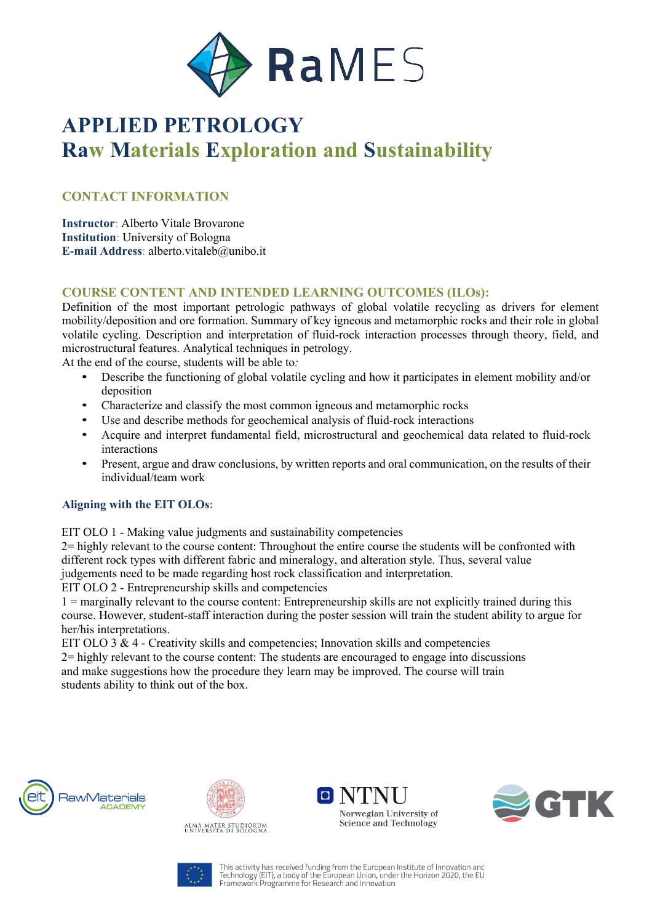

# **APPLIED PETROLOGY Raw Materials Exploration and Sustainability**

# **CONTACT INFORMATION**

**Instructor**: Alberto Vitale Brovarone **Institution**: University of Bologna **E-mail Address**: alberto.vitaleb@unibo.it

## **COURSE CONTENT AND INTENDED LEARNING OUTCOMES (ILOs):**

Definition of the most important petrologic pathways of global volatile recycling as drivers for element mobility/deposition and ore formation. Summary of key igneous and metamorphic rocks and their role in global volatile cycling. Description and interpretation of fluid-rock interaction processes through theory, field, and microstructural features. Analytical techniques in petrology.

At the end of the course, students will be able to*:*

- Describe the functioning of global volatile cycling and how it participates in element mobility and/or deposition
- Characterize and classify the most common igneous and metamorphic rocks
- Use and describe methods for geochemical analysis of fluid-rock interactions
- Acquire and interpret fundamental field, microstructural and geochemical data related to fluid-rock interactions
- Present, argue and draw conclusions, by written reports and oral communication, on the results of their individual/team work

### **Aligning with the EIT OLOs:**

EIT OLO 1 - Making value judgments and sustainability competencies

2= highly relevant to the course content: Throughout the entire course the students will be confronted with different rock types with different fabric and mineralogy, and alteration style. Thus, several value judgements need to be made regarding host rock classification and interpretation.

EIT OLO 2 - Entrepreneurship skills and competencies

1 = marginally relevant to the course content: Entrepreneurship skills are not explicitly trained during this course. However, student-staff interaction during the poster session will train the student ability to argue for her/his interpretations.

EIT OLO  $3 \& 4$  - Creativity skills and competencies; Innovation skills and competencies 2= highly relevant to the course content: The students are encouraged to engage into discussions and make suggestions how the procedure they learn may be improved. The course will train students ability to think out of the box.





ALMA MATER STUDIORUM<br>UNIVERSITÀ DI BOLOGNA







This activity has received funding from the European Institute of Innovation and<br>Technology (EIT), a body of the European Union, under the Horizon 2020, the EU<br>Framework Programme for Research and Innovation